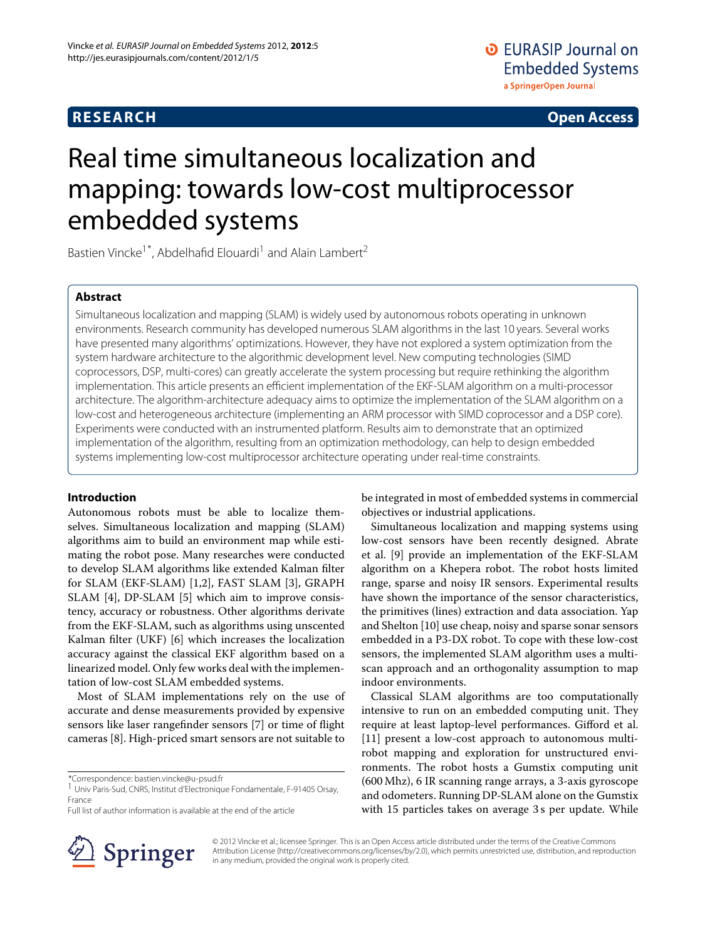# **RESEARCH Open Access**

# Real time simultaneous localization and mapping: towards low-cost multiprocessor embedded systems

Bastien Vincke<sup>1\*</sup>, Abdelhafid Elouardi<sup>1</sup> and Alain Lambert<sup>2</sup>

## **Abstract**

Simultaneous localization and mapping (SLAM) is widely used by autonomous robots operating in unknown environments. Research community has developed numerous SLAM algorithms in the last 10 years. Several works have presented many algorithms' optimizations. However, they have not explored a system optimization from the system hardware architecture to the algorithmic development level. New computing technologies (SIMD coprocessors, DSP, multi-cores) can greatly accelerate the system processing but require rethinking the algorithm implementation. This article presents an efficient implementation of the EKF-SLAM algorithm on a multi-processor architecture. The algorithm-architecture adequacy aims to optimize the implementation of the SLAM algorithm on a low-cost and heterogeneous architecture (implementing an ARM processor with SIMD coprocessor and a DSP core). Experiments were conducted with an instrumented platform. Results aim to demonstrate that an optimized implementation of the algorithm, resulting from an optimization methodology, can help to design embedded systems implementing low-cost multiprocessor architecture operating under real-time constraints.

## **Introduction**

Autonomous robots must be able to localize themselves. Simultaneous localization and mapping (SLAM) algorithms aim to build an environment map while estimating the robot pose. Many researches were conducted to develop SLAM algorithms like extended Kalman filter for SLAM (EKF-SLAM) [\[1](#page-12-0)[,2\]](#page-12-1), FAST SLAM [\[3\]](#page-12-2), GRAPH SLAM [\[4\]](#page-12-3), DP-SLAM [\[5\]](#page-12-4) which aim to improve consistency, accuracy or robustness. Other algorithms derivate from the EKF-SLAM, such as algorithms using unscented Kalman filter (UKF) [\[6\]](#page-12-5) which increases the localization accuracy against the classical EKF algorithm based on a linearized model. Only few works deal with the implementation of low-cost SLAM embedded systems.

Most of SLAM implementations rely on the use of accurate and dense measurements provided by expensive sensors like laser rangefinder sensors [\[7\]](#page-12-6) or time of flight cameras [\[8\]](#page-12-7). High-priced smart sensors are not suitable to

\*Correspondence: bastien.vincke@u-psud.fr



Simultaneous localization and mapping systems using low-cost sensors have been recently designed. Abrate et al. [\[9\]](#page-12-8) provide an implementation of the EKF-SLAM algorithm on a Khepera robot. The robot hosts limited range, sparse and noisy IR sensors. Experimental results have shown the importance of the sensor characteristics, the primitives (lines) extraction and data association. Yap and Shelton [\[10\]](#page-12-9) use cheap, noisy and sparse sonar sensors embedded in a P3-DX robot. To cope with these low-cost sensors, the implemented SLAM algorithm uses a multiscan approach and an orthogonality assumption to map indoor environments.

Classical SLAM algorithms are too computationally intensive to run on an embedded computing unit. They require at least laptop-level performances. Gifford et al. [\[11\]](#page-13-0) present a low-cost approach to autonomous multirobot mapping and exploration for unstructured environments. The robot hosts a Gumstix computing unit (600 Mhz), 6 IR scanning range arrays, a 3-axis gyroscope and odometers. Running DP-SLAM alone on the Gumstix with 15 particles takes on average 3 s per update. While



© 2012 Vincke et al.; licensee Springer. This is an Open Access article distributed under the terms of the Creative Commons Attribution License (http://creativecommons.org/licenses/by/2.0), which permits unrestricted use, distribution, and reproduction in any medium, provided the original work is properly cited.

<sup>1</sup> Univ Paris-Sud, CNRS, Institut d'Electronique Fondamentale, F-91405 Orsay, France

Full list of author information is available at the end of the article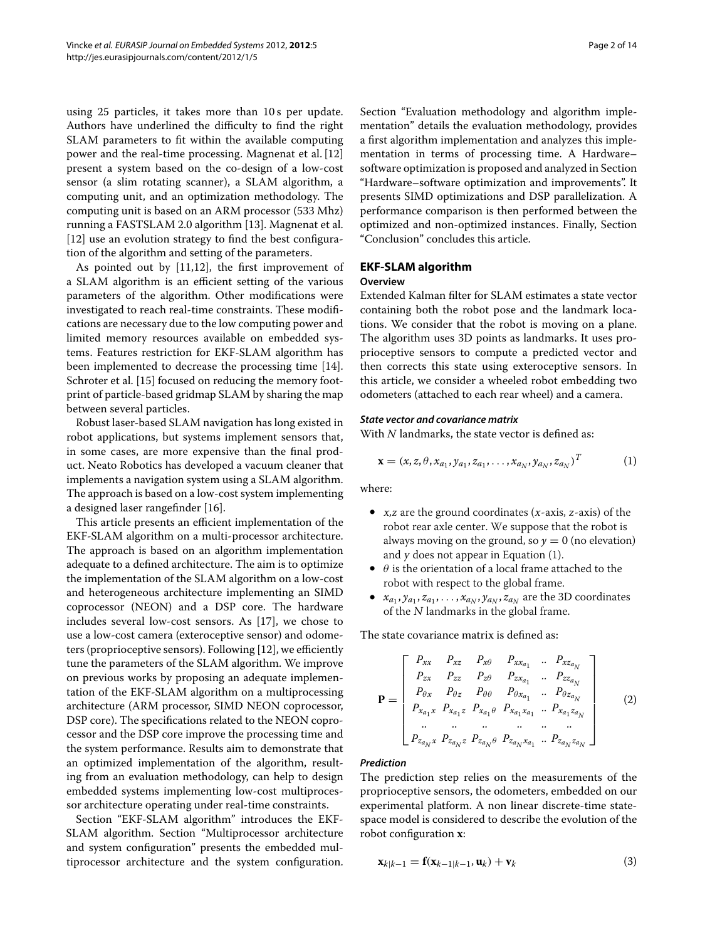using 25 particles, it takes more than 10 s per update. Authors have underlined the difficulty to find the right SLAM parameters to fit within the available computing power and the real-time processing. Magnenat et al. [\[12\]](#page-13-1) present a system based on the co-design of a low-cost sensor (a slim rotating scanner), a SLAM algorithm, a computing unit, and an optimization methodology. The computing unit is based on an ARM processor (533 Mhz) running a FASTSLAM 2.0 algorithm [\[13\]](#page-13-2). Magnenat et al. [\[12\]](#page-13-1) use an evolution strategy to find the best configuration of the algorithm and setting of the parameters.

As pointed out by [\[11,](#page-13-0)[12\]](#page-13-1), the first improvement of a SLAM algorithm is an efficient setting of the various parameters of the algorithm. Other modifications were investigated to reach real-time constraints. These modifications are necessary due to the low computing power and limited memory resources available on embedded systems. Features restriction for EKF-SLAM algorithm has been implemented to decrease the processing time [\[14\]](#page-13-3). Schroter et al. [\[15\]](#page-13-4) focused on reducing the memory footprint of particle-based gridmap SLAM by sharing the map between several particles.

Robust laser-based SLAM navigation has long existed in robot applications, but systems implement sensors that, in some cases, are more expensive than the final product. Neato Robotics has developed a vacuum cleaner that implements a navigation system using a SLAM algorithm. The approach is based on a low-cost system implementing a designed laser rangefinder [\[16\]](#page-13-5).

This article presents an efficient implementation of the EKF-SLAM algorithm on a multi-processor architecture. The approach is based on an algorithm implementation adequate to a defined architecture. The aim is to optimize the implementation of the SLAM algorithm on a low-cost and heterogeneous architecture implementing an SIMD coprocessor (NEON) and a DSP core. The hardware includes several low-cost sensors. As [\[17\]](#page-13-6), we chose to use a low-cost camera (exteroceptive sensor) and odometers (proprioceptive sensors). Following [\[12\]](#page-13-1), we efficiently tune the parameters of the SLAM algorithm. We improve on previous works by proposing an adequate implementation of the EKF-SLAM algorithm on a multiprocessing architecture (ARM processor, SIMD NEON coprocessor, DSP core). The specifications related to the NEON coprocessor and the DSP core improve the processing time and the system performance. Results aim to demonstrate that an optimized implementation of the algorithm, resulting from an evaluation methodology, can help to design embedded systems implementing low-cost multiprocessor architecture operating under real-time constraints.

Section ["EKF-SLAM algorithm"](#page-1-0) introduces the EKF-SLAM algorithm. Section ["Multiprocessor architecture](#page-4-0) [and system configuration"](#page-4-0) presents the embedded multiprocessor architecture and the system configuration.

Section ["Evaluation methodology and algorithm imple](#page-5-0)[mentation"](#page-5-0) details the evaluation methodology, provides a first algorithm implementation and analyzes this implementation in terms of processing time. A Hardware– software optimization is proposed and analyzed in Section ["Hardware–software optimization and improvements"](#page-8-0). It presents SIMD optimizations and DSP parallelization. A performance comparison is then performed between the optimized and non-optimized instances. Finally, Section ["Conclusion"](#page-12-10) concludes this article.

## <span id="page-1-0"></span>**EKF-SLAM algorithm**

#### **Overview**

Extended Kalman filter for SLAM estimates a state vector containing both the robot pose and the landmark locations. We consider that the robot is moving on a plane. The algorithm uses 3D points as landmarks. It uses proprioceptive sensors to compute a predicted vector and then corrects this state using exteroceptive sensors. In this article, we consider a wheeled robot embedding two odometers (attached to each rear wheel) and a camera.

## *State vector and covariance matrix*

With *N* landmarks, the state vector is defined as:

<span id="page-1-1"></span>
$$
\mathbf{x} = (x, z, \theta, x_{a_1}, y_{a_1}, z_{a_1}, \dots, x_{a_N}, y_{a_N}, z_{a_N})^T
$$
(1)

where:

- $x, z$  are the ground coordinates (x-axis, z-axis) of the robot rear axle center. We suppose that the robot is always moving on the ground, so  $y = 0$  (no elevation) and <sup>y</sup> does not appear in Equation [\(1\)](#page-1-1).
- *θ* is the orientation of a local frame attached to the robot with respect to the global frame.
- $\{x_{a_1}, y_{a_1}, z_{a_1}, \ldots, x_{a_N}, y_{a_N}, z_{a_N}\}$  are the 3D coordinates of the <sup>N</sup> landmarks in the global frame.

The state covariance matrix is defined as:

$$
\mathbf{P} = \begin{bmatrix} P_{xx} & P_{xz} & P_{x\theta} & P_{xx_{a_1}} & \dots & P_{xz_{a_N}} \\ P_{zx} & P_{zz} & P_{z\theta} & P_{zx_{a_1}} & \dots & P_{zz_{a_N}} \\ P_{\theta x} & P_{\theta z} & P_{\theta \theta} & P_{\theta x_{a_1}} & \dots & P_{\theta z_{a_N}} \\ P_{x_{a_1}x} & P_{x_{a_1}z} & P_{x_{a_1} \theta} & P_{x_{a_1}x_{a_1}} & \dots & P_{x_{a_1}z_{a_N}} \\ \dots & \dots & \dots & \dots & \dots \\ P_{z_{a_N}x} & P_{z_{a_N}z} & P_{z_{a_N} \theta} & P_{z_{a_N}x_{a_1}} & \dots & P_{z_{a_N}z_{a_N}} \end{bmatrix}
$$
(2)

#### *Prediction*

The prediction step relies on the measurements of the proprioceptive sensors, the odometers, embedded on our experimental platform. A non linear discrete-time statespace model is considered to describe the evolution of the robot configuration **x**:

$$
\mathbf{x}_{k|k-1} = \mathbf{f}(\mathbf{x}_{k-1|k-1}, \mathbf{u}_k) + \mathbf{v}_k
$$
\n(3)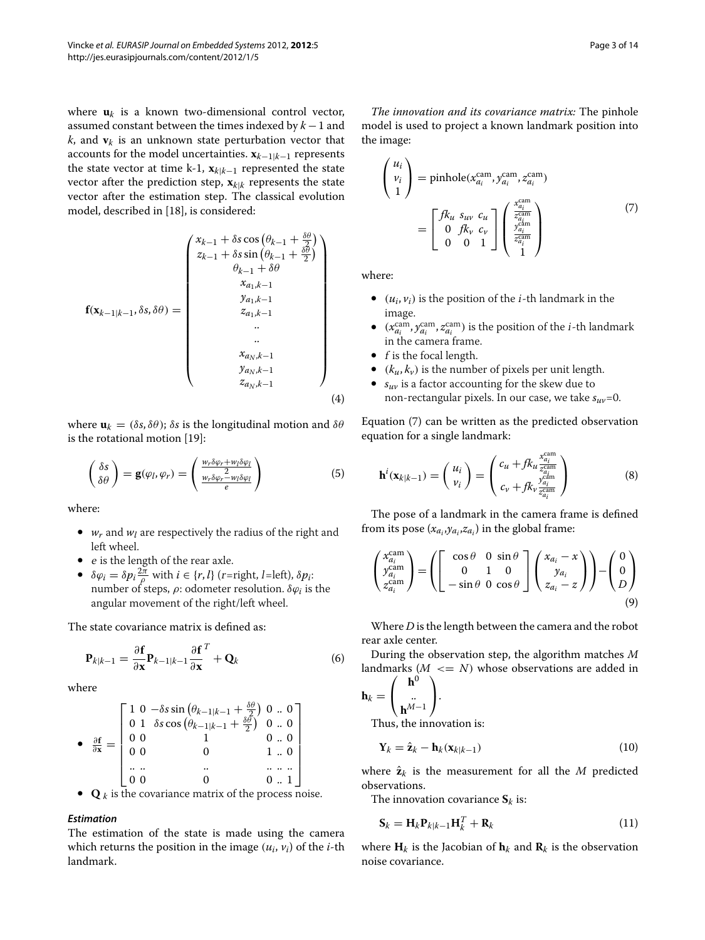where  $\mathbf{u}_k$  is a known two-dimensional control vector, assumed constant between the times indexed by *k* −1 and *k*, and **v***<sup>k</sup>* is an unknown state perturbation vector that accounts for the model uncertainties. **x***k*−1|*k*−<sup>1</sup> represents the state vector at time k-1,  $\mathbf{x}_{k|k-1}$  represented the state vector after the prediction step,  $\mathbf{x}_{k|k}$  represents the state vector after the estimation step. The classical evolution model, described in [\[18\]](#page-13-7), is considered:

$$
\mathbf{f}(\mathbf{x}_{k-1|k-1}, \delta s, \delta \theta) = \begin{pmatrix} x_{k-1} + \delta s \cos (\theta_{k-1} + \frac{\delta \theta}{2}) \\ z_{k-1} + \delta s \sin (\theta_{k-1} + \frac{\delta \theta}{2}) \\ \theta_{k-1} + \delta \theta \\ x_{a_1,k-1} \\ x_{a_1,k-1} \\ z_{a_1,k-1} \\ \vdots \\ x_{a_N,k-1} \\ z_{a_N,k-1} \end{pmatrix}
$$
\n
$$
(4)
$$

where  $\mathbf{u}_k = (\delta s, \delta \theta)$ ;  $\delta s$  is the longitudinal motion and  $\delta \theta$ is the rotational motion [\[19\]](#page-13-8):

<span id="page-2-1"></span>
$$
\begin{pmatrix}\n\delta s \\
\delta \theta\n\end{pmatrix} = \mathbf{g}(\varphi_l, \varphi_r) = \begin{pmatrix}\n\frac{w_r \delta \varphi_r + w_l \delta \varphi_l}{2} \\
\frac{w_r \delta \varphi_r - w_l \delta \varphi_l}{e}\n\end{pmatrix}
$$
\n(5)

where:

- *wr* and *wl* are respectively the radius of the right and left wheel.
- e is the length of the rear axle.
- $\delta \varphi_i = \delta p_i \frac{2\pi}{\rho}$  with  $i \in \{r, l\}$  (*r*=right, *l*=left),  $\delta p_i$ : number of steps, *ρ*: odometer resolution. *δϕ<sup>i</sup>* is the angular movement of the right/left wheel.

The state covariance matrix is defined as:

$$
\mathbf{P}_{k|k-1} = \frac{\partial \mathbf{f}}{\partial \mathbf{x}} \mathbf{P}_{k-1|k-1} \frac{\partial \mathbf{f}}{\partial \mathbf{x}}^T + \mathbf{Q}_k
$$
 (6)

where

$$
\bullet \quad \frac{\partial f}{\partial x} = \begin{bmatrix} 1 & 0 & -\delta s \sin \left( \theta_{k-1|k-1} + \frac{\delta \theta}{2} \right) & 0 & \dots & 0 \\ 0 & 1 & \delta s \cos \left( \theta_{k-1|k-1} + \frac{\delta \theta}{2} \right) & 0 & \dots & 0 \\ 0 & 0 & 1 & 0 & \dots & 0 \\ 0 & 0 & 0 & 1 & \dots & 0 \\ \dots & \dots & \dots & \dots & \dots & \dots \\ 0 & 0 & 0 & 0 & \dots & 1 \end{bmatrix}
$$
  
\n• 
$$
\mathbf{Q}_k
$$
 is the covariance matrix of the process noise.

#### *Estimation*

The estimation of the state is made using the camera which returns the position in the image  $(u_i, v_i)$  of the *i*-th landmark.

*The innovation and its covariance matrix:* The pinhole model is used to project a known landmark position into the image:

<span id="page-2-0"></span>
$$
\begin{pmatrix}\nu_i \\ \nu_i \\ 1 \end{pmatrix} = \text{pinhole}(x_{a_i}^{\text{cam}}, y_{a_i}^{\text{cam}}, z_{a_i}^{\text{cam}})
$$
\n
$$
= \begin{bmatrix}\nf k_u s_{uv} c_u \\
0 & f k_v c_v \\
0 & 0 & 1\n\end{bmatrix} \begin{pmatrix}\nx_{a_i}^{\text{cam}} \\
z_{a_i}^{\text{cam}} \\
z_{a_i}^{\text{cam}} \\
1 \end{pmatrix}
$$
\n(7)

<span id="page-2-2"></span>where:

- $\bullet$  ( $u_i$ ,  $v_i$ ) is the position of the *i*-th landmark in the image.
- $(x_{a_i}^{\text{cam}}, y_{a_i}^{\text{cam}}, z_{a_i}^{\text{cam}})$  is the position of the *i*-th landmark in the camera frame.
- $f$  is the focal length.
- $(k_{\mu}, k_{\nu})$  is the number of pixels per unit length.
- $s_{\mu\nu}$  is a factor accounting for the skew due to
- non-rectangular pixels. In our case, we take *suv*=0.

Equation [\(7\)](#page-2-0) can be written as the predicted observation equation for a single landmark:

<span id="page-2-4"></span>
$$
\mathbf{h}^{i}(\mathbf{x}_{k|k-1}) = \begin{pmatrix} u_i \\ v_i \end{pmatrix} = \begin{pmatrix} c_u + f k_u \frac{x_{a_i}^{\text{can}}}{z_{a_i}^{\text{can}}} \\ c_v + f k_v \frac{y_{a_i}^{\text{can}}}{z_{a_i}^{\text{can}}} \end{pmatrix}
$$
(8)

The pose of a landmark in the camera frame is defined from its pose  $(x_{a_i}, y_{a_i}, z_{a_i})$  in the global frame:

$$
\begin{pmatrix} x_{ai}^{\text{cam}} \\ y_{ai}^{\text{cam}} \\ z_{ai}^{\text{cam}} \end{pmatrix} = \left( \begin{bmatrix} \cos \theta & 0 & \sin \theta \\ 0 & 1 & 0 \\ -\sin \theta & 0 & \cos \theta \end{bmatrix} \begin{pmatrix} x_{a_i} - x \\ y_{a_i} \\ z_{a_i} - z \end{pmatrix} \right) - \begin{pmatrix} 0 \\ 0 \\ D \end{pmatrix}
$$
\n(9)

<span id="page-2-3"></span>Where *D* is the length between the camera and the robot rear axle center.

During the observation step, the algorithm matches *M* landmarks (*M <*= *N)* whose observations are added in  $\left( \begin{array}{c} h^0 \end{array} \right)$ 

$$
\mathbf{h}_k = \begin{pmatrix} \mathbf{n} \\ \vdots \\ \mathbf{h}^{M-1} \end{pmatrix}.
$$

Thus, the innovation is:

$$
\mathbf{Y}_k = \hat{\mathbf{z}}_k - \mathbf{h}_k(\mathbf{x}_{k|k-1})
$$
\n(10)

where  $\hat{\mathbf{z}}_k$  is the measurement for all the *M* predicted observations.

The innovation covariance  $S_k$  is:

<span id="page-2-5"></span>
$$
\mathbf{S}_k = \mathbf{H}_k \mathbf{P}_{k|k-1} \mathbf{H}_k^T + \mathbf{R}_k
$$
\n(11)

where  $H_k$  is the Jacobian of  $h_k$  and  $R_k$  is the observation noise covariance.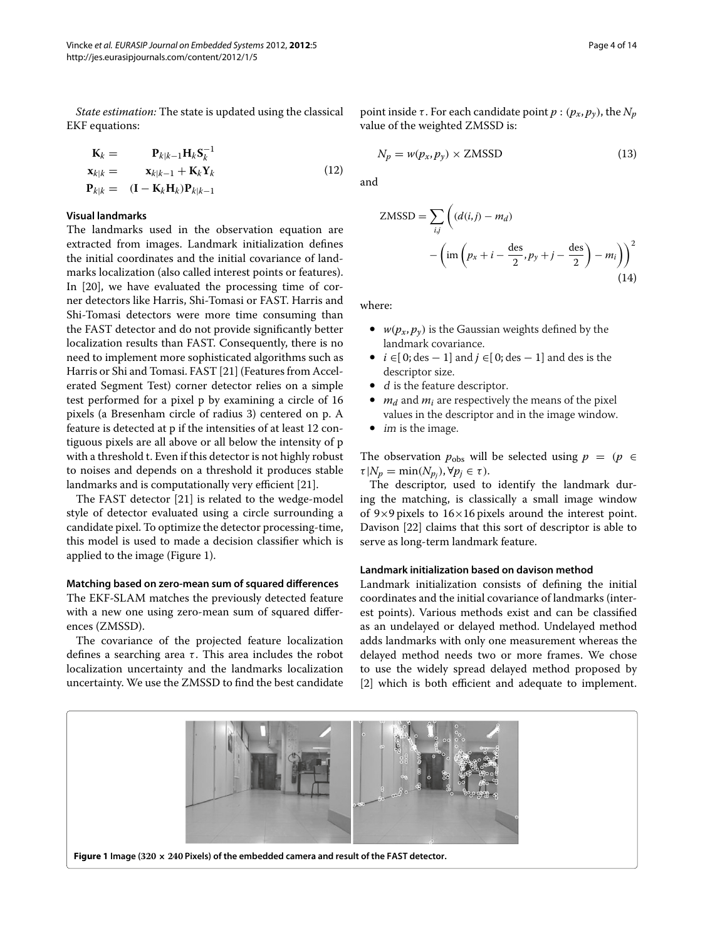*State estimation:* The state is updated using the classical EKF equations:

<span id="page-3-2"></span>
$$
\mathbf{K}_{k} = \mathbf{P}_{k|k-1} \mathbf{H}_{k} \mathbf{S}_{k}^{-1}
$$
\n
$$
\mathbf{x}_{k|k} = \mathbf{x}_{k|k-1} + \mathbf{K}_{k} \mathbf{Y}_{k}
$$
\n
$$
\mathbf{P}_{k|k} = (\mathbf{I} - \mathbf{K}_{k} \mathbf{H}_{k}) \mathbf{P}_{k|k-1}
$$
\n(12)

## **Visual landmarks**

The landmarks used in the observation equation are extracted from images. Landmark initialization defines the initial coordinates and the initial covariance of landmarks localization (also called interest points or features). In [\[20\]](#page-13-9), we have evaluated the processing time of corner detectors like Harris, Shi-Tomasi or FAST. Harris and Shi-Tomasi detectors were more time consuming than the FAST detector and do not provide significantly better localization results than FAST. Consequently, there is no need to implement more sophisticated algorithms such as Harris or Shi and Tomasi. FAST [\[21\]](#page-13-10) (Features from Accelerated Segment Test) corner detector relies on a simple test performed for a pixel p by examining a circle of 16 pixels (a Bresenham circle of radius 3) centered on p. A feature is detected at p if the intensities of at least 12 contiguous pixels are all above or all below the intensity of p with a threshold t. Even if this detector is not highly robust to noises and depends on a threshold it produces stable landmarks and is computationally very efficient [\[21\]](#page-13-10).

The FAST detector [\[21\]](#page-13-10) is related to the wedge-model style of detector evaluated using a circle surrounding a candidate pixel. To optimize the detector processing-time, this model is used to made a decision classifier which is applied to the image (Figure [1\)](#page-3-0).

#### <span id="page-3-3"></span>**Matching based on zero-mean sum of squared differences**

The EKF-SLAM matches the previously detected feature with a new one using zero-mean sum of squared differences (ZMSSD).

The covariance of the projected feature localization defines a searching area  $\tau$ . This area includes the robot localization uncertainty and the landmarks localization uncertainty. We use the ZMSSD to find the best candidate

point inside  $\tau$ . For each candidate point  $p : (p_x, p_y)$ , the  $N_p$ value of the weighted ZMSSD is:

<span id="page-3-1"></span>
$$
N_p = w(p_x, p_y) \times \text{ZMSSD} \tag{13}
$$

and

ZMSSD = 
$$
\sum_{i,j} \left( (d(i,j) - m_d) - \left( \text{im} \left( p_x + i - \frac{\text{des}}{2}, p_y + j - \frac{\text{des}}{2} \right) - m_i \right) \right)^2
$$
(14)

where:

- $w(p_x, p_y)$  is the Gaussian weights defined by the landmark covariance.
- $i \in [0; \text{des} 1]$  and  $j \in [0; \text{des} 1]$  and des is the descriptor size.
- <sup>d</sup> is the feature descriptor.
- $m_d$  and  $m_i$  are respectively the means of the pixel values in the descriptor and in the image window.
- *im* is the image.

The observation  $p_{obs}$  will be selected using  $p = (p \in$  $\tau | N_p = \min(N_{p_j}), \forall p_j \in \tau$ ).

The descriptor, used to identify the landmark during the matching, is classically a small image window of 9×9 pixels to 16×16 pixels around the interest point. Davison [\[22\]](#page-13-11) claims that this sort of descriptor is able to serve as long-term landmark feature.

#### **Landmark initialization based on davison method**

Landmark initialization consists of defining the initial coordinates and the initial covariance of landmarks (interest points). Various methods exist and can be classified as an undelayed or delayed method. Undelayed method adds landmarks with only one measurement whereas the delayed method needs two or more frames. We chose to use the widely spread delayed method proposed by [\[2\]](#page-12-1) which is both efficient and adequate to implement.

<span id="page-3-0"></span>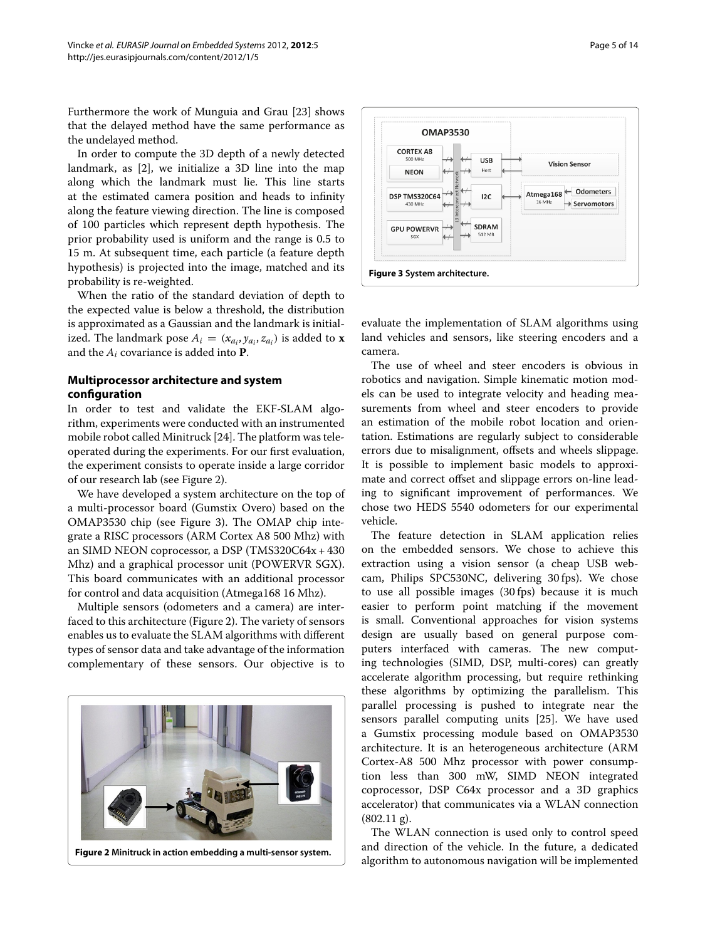Furthermore the work of Munguia and Grau [\[23\]](#page-13-12) shows that the delayed method have the same performance as the undelayed method.

In order to compute the 3D depth of a newly detected landmark, as [\[2\]](#page-12-1), we initialize a 3D line into the map along which the landmark must lie. This line starts at the estimated camera position and heads to infinity along the feature viewing direction. The line is composed of 100 particles which represent depth hypothesis. The prior probability used is uniform and the range is 0.5 to 15 m. At subsequent time, each particle (a feature depth hypothesis) is projected into the image, matched and its probability is re-weighted.

When the ratio of the standard deviation of depth to the expected value is below a threshold, the distribution is approximated as a Gaussian and the landmark is initialized. The landmark pose  $A_i = (x_{a_i}, y_{a_i}, z_{a_i})$  is added to **x** and the *Ai* covariance is added into **P**.

# **Multiprocessor architecture and system configuration**

<span id="page-4-0"></span>In order to test and validate the EKF-SLAM algorithm, experiments were conducted with an instrumented mobile robot called Minitruck [\[24\]](#page-13-13). The platform was teleoperated during the experiments. For our first evaluation, the experiment consists to operate inside a large corridor of our research lab (see Figure [2\)](#page-4-1).

We have developed a system architecture on the top of a multi-processor board (Gumstix Overo) based on the OMAP3530 chip (see Figure [3\)](#page-4-2). The OMAP chip integrate a RISC processors (ARM Cortex A8 500 Mhz) with an SIMD NEON coprocessor, a DSP (TMS320C64x + 430 Mhz) and a graphical processor unit (POWERVR SGX). This board communicates with an additional processor for control and data acquisition (Atmega168 16 Mhz).

Multiple sensors (odometers and a camera) are interfaced to this architecture (Figure [2\)](#page-4-1). The variety of sensors enables us to evaluate the SLAM algorithms with different types of sensor data and take advantage of the information complementary of these sensors. Our objective is to

<span id="page-4-1"></span>



<span id="page-4-2"></span>evaluate the implementation of SLAM algorithms using land vehicles and sensors, like steering encoders and a camera.

The use of wheel and steer encoders is obvious in robotics and navigation. Simple kinematic motion models can be used to integrate velocity and heading measurements from wheel and steer encoders to provide an estimation of the mobile robot location and orientation. Estimations are regularly subject to considerable errors due to misalignment, offsets and wheels slippage. It is possible to implement basic models to approximate and correct offset and slippage errors on-line leading to significant improvement of performances. We chose two HEDS 5540 odometers for our experimental vehicle.

The feature detection in SLAM application relies on the embedded sensors. We chose to achieve this extraction using a vision sensor (a cheap USB webcam, Philips SPC530NC, delivering 30 fps). We chose to use all possible images (30 fps) because it is much easier to perform point matching if the movement is small. Conventional approaches for vision systems design are usually based on general purpose computers interfaced with cameras. The new computing technologies (SIMD, DSP, multi-cores) can greatly accelerate algorithm processing, but require rethinking these algorithms by optimizing the parallelism. This parallel processing is pushed to integrate near the sensors parallel computing units [\[25\]](#page-13-14). We have used a Gumstix processing module based on OMAP3530 architecture. It is an heterogeneous architecture (ARM Cortex-A8 500 Mhz processor with power consumption less than 300 mW, SIMD NEON integrated coprocessor, DSP C64x processor and a 3D graphics accelerator) that communicates via a WLAN connection  $(802.11 \text{ g})$ .

The WLAN connection is used only to control speed and direction of the vehicle. In the future, a dedicated algorithm to autonomous navigation will be implemented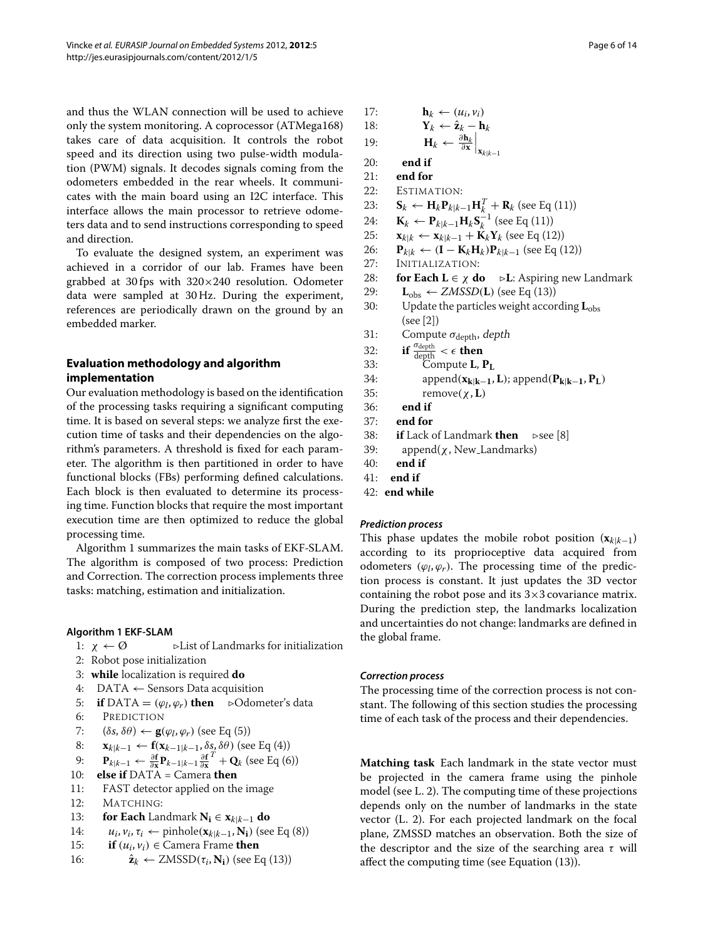and thus the WLAN connection will be used to achieve only the system monitoring. A coprocessor (ATMega168) takes care of data acquisition. It controls the robot speed and its direction using two pulse-width modulation (PWM) signals. It decodes signals coming from the odometers embedded in the rear wheels. It communicates with the main board using an I2C interface. This interface allows the main processor to retrieve odometers data and to send instructions corresponding to speed and direction.

To evaluate the designed system, an experiment was achieved in a corridor of our lab. Frames have been grabbed at 30 fps with  $320\times240$  resolution. Odometer data were sampled at 30 Hz. During the experiment, references are periodically drawn on the ground by an embedded marker.

# **Evaluation methodology and algorithm implementation**

<span id="page-5-0"></span>Our evaluation methodology is based on the identification of the processing tasks requiring a significant computing time. It is based on several steps: we analyze first the execution time of tasks and their dependencies on the algorithm's parameters. A threshold is fixed for each parameter. The algorithm is then partitioned in order to have functional blocks (FBs) performing defined calculations. Each block is then evaluated to determine its processing time. Function blocks that require the most important execution time are then optimized to reduce the global processing time.

Algorithm [1](#page-5-1) summarizes the main tasks of EKF-SLAM. The algorithm is composed of two process: Prediction and Correction. The correction process implements three tasks: matching, estimation and initialization.

# <span id="page-5-1"></span>**Algorithm 1 EKF-SLAM**

- 1:  $\chi \leftarrow \emptyset$   $\triangleright$  List of Landmarks for initialization
- 2: Robot pose initialization
- 3: **while** localization is required **do**
- 4: DATA  $\leftarrow$  Sensors Data acquisition
- 5: **if** DATA =  $(\varphi_l, \varphi_r)$  **then**  $\triangleright$  Odometer's data 6: PREDICTION
- PREDICTION
- 7:  $(\delta s, \delta \theta) \leftarrow \mathbf{g}(\varphi_l, \varphi_r)$  (see Eq [\(5\)](#page-2-1))<br>8:  $\mathbf{x}_{l+k-1} \leftarrow \mathbf{f}(\mathbf{x}_{k-1|k-1}, \delta s, \delta \theta)$  (se
- 8:  $\mathbf{x}_{k|k-1} \leftarrow \mathbf{f}(\mathbf{x}_{k-1|k-1}, \delta s, \delta \theta)$  (see Eq [\(4\)](#page-2-2))<br>  $\mathbf{F}(\mathbf{x}_{k-1|k-1}) = \frac{\partial \mathbf{f}(\mathbf{x}_{k-1|k-1})}{\partial \mathbf{f}(\mathbf{x}_{k-1})}$

9: 
$$
\mathbf{P}_{k|k-1} \leftarrow \frac{\partial \mathbf{f}}{\partial \mathbf{x}} \mathbf{P}_{k-1|k-1} \frac{\partial \mathbf{f}}{\partial \mathbf{x}}^T + \mathbf{Q}_k \text{ (see Eq (6))}
$$

- 9:  $P_{k|k-1} \leftarrow \frac{\partial f}{\partial x} P_{k-1|k-1} \frac{\partial f}{\partial x}^T + Q$ <br>
10: **else if** DATA = Camera **then**
- 11: FAST detector applied on the image
- 12: MATCHING:
- 13: **for Each** Landmark **N<sub>i</sub>** ∈ **x**<sub>*k*|*k*−1</sub> **do**<br>14:  $u_i, v_i, \tau_i$  ← pinhole(**x**<sub>*k*+*k*−1</sub>**, N<sub>i</sub>**)</sub> (see
- 14:  $u_i, v_i, \tau_i \leftarrow \text{pinhole}(\mathbf{x}_{k|k-1}, \mathbf{N}_i) \text{ (see Eq (8))}$  $u_i, v_i, \tau_i \leftarrow \text{pinhole}(\mathbf{x}_{k|k-1}, \mathbf{N}_i) \text{ (see Eq (8))}$  $u_i, v_i, \tau_i \leftarrow \text{pinhole}(\mathbf{x}_{k|k-1}, \mathbf{N}_i) \text{ (see Eq (8))}$ <br>15: **if**  $(u_i, v_i) \in \text{Camera Frame}$  **then**
- 
- 15: **if**  $(u_i, v_i) \in \text{Camera Frame}$  **then**<br>16:  $\hat{\mathbf{z}}_k \leftarrow \text{ZMSSD}(\tau_i, \mathbf{N_i})$  (see E  $\hat{\mathbf{z}}_k \leftarrow \text{ZMSSD}(\tau_i, \mathbf{N_i})$  (see Eq [\(13\)](#page-3-1))

17: 
$$
\mathbf{h}_{k} \leftarrow (u_{i}, v_{i})
$$
  
18: 
$$
\mathbf{Y}_{k} \leftarrow \hat{\mathbf{z}}_{k} - \mathbf{h}_{k}
$$
  
19: 
$$
\mathbf{H}_{k} \leftarrow \frac{\partial \mathbf{h}_{k}}{\partial \mathbf{x}} \Big|_{\mathbf{x}_{k|k-1}}
$$

- 20: **end if**
- 21: **end for**
- 22: ESTIMATION:
- 23:  $\mathbf{S}_k \leftarrow \mathbf{H}_k \mathbf{P}_{k|k-1} \mathbf{H}_k^T + \mathbf{R}_k \text{ (see Eq (11))}$  $\mathbf{S}_k \leftarrow \mathbf{H}_k \mathbf{P}_{k|k-1} \mathbf{H}_k^T + \mathbf{R}_k \text{ (see Eq (11))}$  $\mathbf{S}_k \leftarrow \mathbf{H}_k \mathbf{P}_{k|k-1} \mathbf{H}_k^T + \mathbf{R}_k \text{ (see Eq (11))}$
- 24: **K**<sub>*k*</sub> ← **P**<sub>*k*|*k*−1</sub>**H**<sub>*k*</sub>**S**<sub>*k*</sub><sup>-1</sup> (see Eq [\(11\)](#page-2-5))
- 
- 25:  $\mathbf{x}_{k|k} \leftarrow \mathbf{x}_{k|k-1} + \mathbf{K}_k \mathbf{Y}_k$  (see Eq [\(12\)](#page-3-2))<br>26:  $\mathbf{P}_{k|k} \leftarrow (\mathbf{I} \mathbf{K}_k \mathbf{H}_k) \mathbf{P}_{k|k-1}$  (see Eq ( 26: **P**<sub>*k*|*k*</sub> ← (**I** − **K**<sub>*k*</sub>**H**<sub>*k*</sub>)**P**<sub>*k*|*k*−1</sub> (see Eq [\(12\)](#page-3-2))<br>27: **INITIALIZATION:**
- INITIALIZATION:
- 28: **for Each L**  $\in \chi$  **do**  $\triangleright$  L: Aspiring new Landmark 29: **L**<sub>obs</sub>  $\leftarrow$  *ZMSSD*(**L**) (see Eq. (13))
- 29:  $\mathbf{L}_{obs} \leftarrow ZMSSD(\mathbf{L})$  (see Eq [\(13\)](#page-3-1))<br>30: Update the particles weight accor
- 30: Update the particles weight according **L**obs (see [\[2\]](#page-12-1))
- 31: Compute *σ*depth, depth
- 32: **if**  $\frac{\sigma_{\text{depth}}}{\text{depth}} < \epsilon$  **then**
- 33: Compute **L**, **PL**
- 34: append*(***xk**|**k**−**1**, **L***)*; append*(***Pk**|**k**−**1**, **PL***)*
- 35: remove*(χ*, **L***)*
- 36: **end if**
- 37: **end for**
- 38: **if** Lack of Landmark **then** ⊳see [\[8\]](#page-12-7)<br>39: append(*x*, New Landmarks)
- append(*χ*, New\_Landmarks)
- 40: **end if**
- 41: **end if**
- 42: **end while**

## *Prediction process*

This phase updates the mobile robot position  $(\mathbf{x}_{k|k-1})$ according to its proprioceptive data acquired from odometers  $(\varphi_l, \varphi_r)$ . The processing time of the prediction process is constant. It just updates the 3D vector containing the robot pose and its  $3\times3$  covariance matrix. During the prediction step, the landmarks localization and uncertainties do not change: landmarks are defined in the global frame.

## *Correction process*

The processing time of the correction process is not constant. The following of this section studies the processing time of each task of the process and their dependencies.

**Matching task** Each landmark in the state vector must be projected in the camera frame using the pinhole model (see L. [2\)](#page-5-1). The computing time of these projections depends only on the number of landmarks in the state vector (L. [2\)](#page-5-1). For each projected landmark on the focal plane, ZMSSD matches an observation. Both the size of the descriptor and the size of the searching area *τ* will affect the computing time (see Equation [\(13\)](#page-3-1)).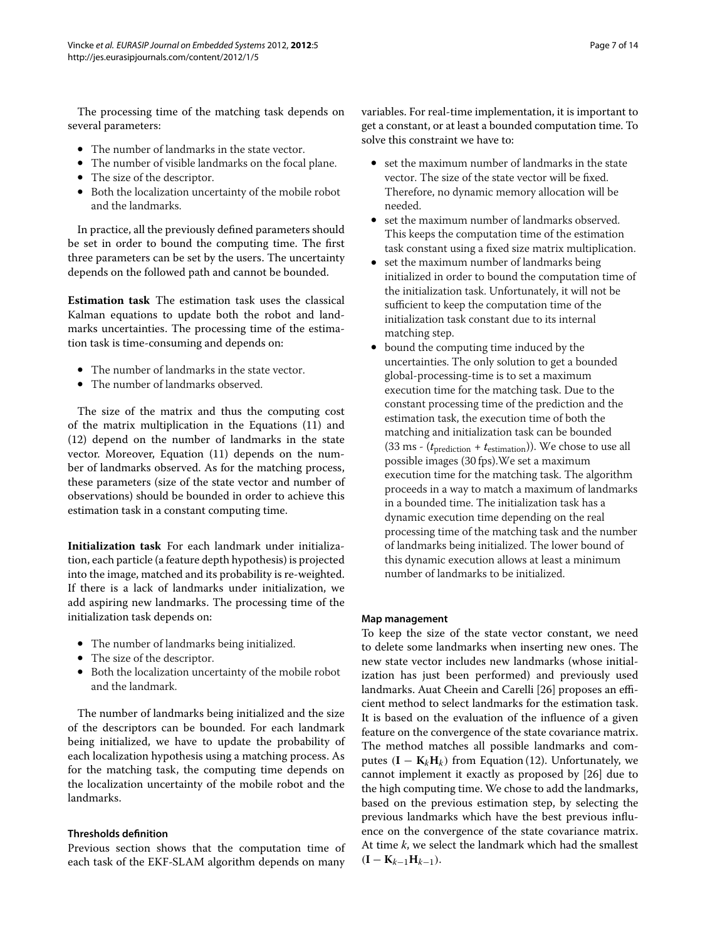The processing time of the matching task depends on several parameters:

- The number of landmarks in the state vector.
- The number of visible landmarks on the focal plane.
- The size of the descriptor.
- Both the localization uncertainty of the mobile robot and the landmarks.

In practice, all the previously defined parameters should be set in order to bound the computing time. The first three parameters can be set by the users. The uncertainty depends on the followed path and cannot be bounded.

**Estimation task** The estimation task uses the classical Kalman equations to update both the robot and landmarks uncertainties. The processing time of the estimation task is time-consuming and depends on:

- The number of landmarks in the state vector.
- The number of landmarks observed.

The size of the matrix and thus the computing cost of the matrix multiplication in the Equations [\(11\)](#page-2-5) and [\(12\)](#page-3-2) depend on the number of landmarks in the state vector. Moreover, Equation [\(11\)](#page-2-5) depends on the number of landmarks observed. As for the matching process, these parameters (size of the state vector and number of observations) should be bounded in order to achieve this estimation task in a constant computing time.

**Initialization task** For each landmark under initialization, each particle (a feature depth hypothesis) is projected into the image, matched and its probability is re-weighted. If there is a lack of landmarks under initialization, we add aspiring new landmarks. The processing time of the initialization task depends on:

- The number of landmarks being initialized.
- The size of the descriptor.
- Both the localization uncertainty of the mobile robot and the landmark.

The number of landmarks being initialized and the size of the descriptors can be bounded. For each landmark being initialized, we have to update the probability of each localization hypothesis using a matching process. As for the matching task, the computing time depends on the localization uncertainty of the mobile robot and the landmarks.

# **Thresholds definition**

Previous section shows that the computation time of each task of the EKF-SLAM algorithm depends on many

variables. For real-time implementation, it is important to get a constant, or at least a bounded computation time. To solve this constraint we have to:

- set the maximum number of landmarks in the state vector. The size of the state vector will be fixed. Therefore, no dynamic memory allocation will be needed.
- set the maximum number of landmarks observed. This keeps the computation time of the estimation task constant using a fixed size matrix multiplication.
- set the maximum number of landmarks being initialized in order to bound the computation time of the initialization task. Unfortunately, it will not be sufficient to keep the computation time of the initialization task constant due to its internal matching step.
- bound the computing time induced by the uncertainties. The only solution to get a bounded global-processing-time is to set a maximum execution time for the matching task. Due to the constant processing time of the prediction and the estimation task, the execution time of both the matching and initialization task can be bounded (33 ms - (*t*prediction + *t*estimation)). We chose to use all possible images (30 fps).We set a maximum execution time for the matching task. The algorithm proceeds in a way to match a maximum of landmarks in a bounded time. The initialization task has a dynamic execution time depending on the real processing time of the matching task and the number of landmarks being initialized. The lower bound of this dynamic execution allows at least a minimum number of landmarks to be initialized.

## **Map management**

To keep the size of the state vector constant, we need to delete some landmarks when inserting new ones. The new state vector includes new landmarks (whose initialization has just been performed) and previously used landmarks. Auat Cheein and Carelli [\[26\]](#page-13-15) proposes an efficient method to select landmarks for the estimation task. It is based on the evaluation of the influence of a given feature on the convergence of the state covariance matrix. The method matches all possible landmarks and computes  $(I - K_k H_k)$  from Equation [\(12\)](#page-3-2). Unfortunately, we cannot implement it exactly as proposed by [\[26\]](#page-13-15) due to the high computing time. We chose to add the landmarks, based on the previous estimation step, by selecting the previous landmarks which have the best previous influence on the convergence of the state covariance matrix. At time *k*, we select the landmark which had the smallest  $({\bf I} - {\bf K}_{k-1} {\bf H}_{k-1}).$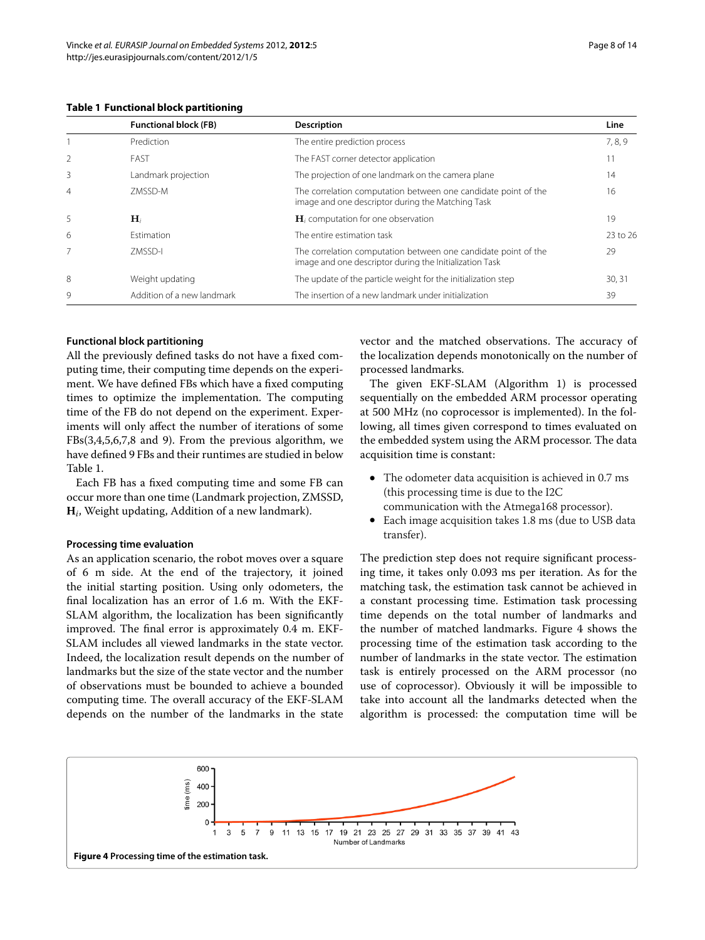<span id="page-7-0"></span>

|   | <b>Functional block (FB)</b> | <b>Description</b>                                                                                                        | Line     |
|---|------------------------------|---------------------------------------------------------------------------------------------------------------------------|----------|
|   | Prediction                   | The entire prediction process                                                                                             | 7, 8, 9  |
| 2 | <b>FAST</b>                  | The FAST corner detector application                                                                                      | 11       |
| 3 | Landmark projection          | The projection of one landmark on the camera plane                                                                        | 14       |
| 4 | <b>7MSSD-M</b>               | The correlation computation between one candidate point of the<br>image and one descriptor during the Matching Task       | 16       |
| 5 | $\mathbf{H}_{i}$             | $\mathbf{H}_i$ computation for one observation                                                                            | 19       |
| 6 | <b>Estimation</b>            | The entire estimation task                                                                                                | 23 to 26 |
|   | <b>ZMSSD-I</b>               | The correlation computation between one candidate point of the<br>image and one descriptor during the Initialization Task | 29       |
| 8 | Weight updating              | The update of the particle weight for the initialization step                                                             | 30, 31   |
| 9 | Addition of a new landmark   | The insertion of a new landmark under initialization                                                                      | 39       |

**Table 1 Functional block partitioning**

#### **Functional block partitioning**

All the previously defined tasks do not have a fixed computing time, their computing time depends on the experiment. We have defined FBs which have a fixed computing times to optimize the implementation. The computing time of the FB do not depend on the experiment. Experiments will only affect the number of iterations of some FBs(3,4,5,6,7,8 and 9). From the previous algorithm, we have defined 9 FBs and their runtimes are studied in below Table [1.](#page-7-0)

Each FB has a fixed computing time and some FB can occur more than one time (Landmark projection, ZMSSD, **H***i*, Weight updating, Addition of a new landmark).

#### **Processing time evaluation**

As an application scenario, the robot moves over a square of 6 m side. At the end of the trajectory, it joined the initial starting position. Using only odometers, the final localization has an error of 1.6 m. With the EKF-SLAM algorithm, the localization has been significantly improved. The final error is approximately 0.4 m. EKF-SLAM includes all viewed landmarks in the state vector. Indeed, the localization result depends on the number of landmarks but the size of the state vector and the number of observations must be bounded to achieve a bounded computing time. The overall accuracy of the EKF-SLAM depends on the number of the landmarks in the state vector and the matched observations. The accuracy of the localization depends monotonically on the number of processed landmarks.

The given EKF-SLAM (Algorithm [1\)](#page-5-1) is processed sequentially on the embedded ARM processor operating at 500 MHz (no coprocessor is implemented). In the following, all times given correspond to times evaluated on the embedded system using the ARM processor. The data acquisition time is constant:

- The odometer data acquisition is achieved in 0.7 ms (this processing time is due to the I2C
- communication with the Atmega168 processor).
- Each image acquisition takes 1.8 ms (due to USB data transfer).

The prediction step does not require significant processing time, it takes only 0.093 ms per iteration. As for the matching task, the estimation task cannot be achieved in a constant processing time. Estimation task processing time depends on the total number of landmarks and the number of matched landmarks. Figure [4](#page-7-1) shows the processing time of the estimation task according to the number of landmarks in the state vector. The estimation task is entirely processed on the ARM processor (no use of coprocessor). Obviously it will be impossible to take into account all the landmarks detected when the algorithm is processed: the computation time will be

<span id="page-7-1"></span>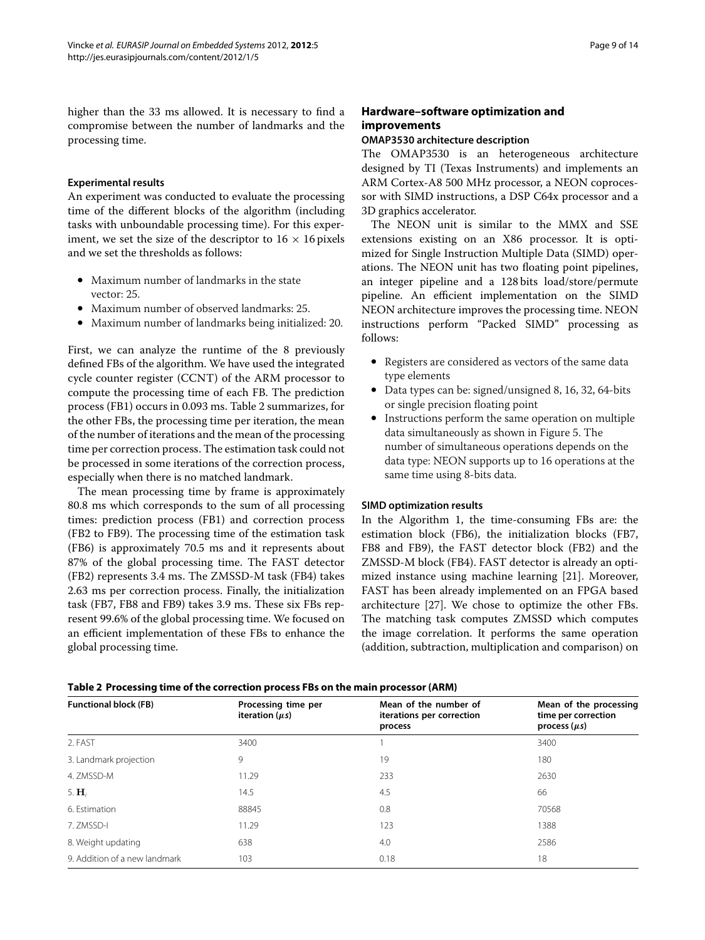higher than the 33 ms allowed. It is necessary to find a compromise between the number of landmarks and the processing time.

## <span id="page-8-2"></span>**Experimental results**

An experiment was conducted to evaluate the processing time of the different blocks of the algorithm (including tasks with unboundable processing time). For this experiment, we set the size of the descriptor to  $16 \times 16$  pixels and we set the thresholds as follows:

- Maximum number of landmarks in the state vector: 25.
- Maximum number of observed landmarks: 25.
- Maximum number of landmarks being initialized: 20.

First, we can analyze the runtime of the 8 previously defined FBs of the algorithm. We have used the integrated cycle counter register (CCNT) of the ARM processor to compute the processing time of each FB. The prediction process (FB1) occurs in 0.093 ms. Table [2](#page-8-1) summarizes, for the other FBs, the processing time per iteration, the mean of the number of iterations and the mean of the processing time per correction process. The estimation task could not be processed in some iterations of the correction process, especially when there is no matched landmark.

The mean processing time by frame is approximately 80.8 ms which corresponds to the sum of all processing times: prediction process (FB1) and correction process (FB2 to FB9). The processing time of the estimation task (FB6) is approximately 70.5 ms and it represents about 87% of the global processing time. The FAST detector (FB2) represents 3.4 ms. The ZMSSD-M task (FB4) takes 2.63 ms per correction process. Finally, the initialization task (FB7, FB8 and FB9) takes 3.9 ms. These six FBs represent 99.6% of the global processing time. We focused on an efficient implementation of these FBs to enhance the global processing time.

## <span id="page-8-0"></span>**OMAP3530 architecture description**

The OMAP3530 is an heterogeneous architecture designed by TI (Texas Instruments) and implements an ARM Cortex-A8 500 MHz processor, a NEON coprocessor with SIMD instructions, a DSP C64x processor and a 3D graphics accelerator.

The NEON unit is similar to the MMX and SSE extensions existing on an X86 processor. It is optimized for Single Instruction Multiple Data (SIMD) operations. The NEON unit has two floating point pipelines, an integer pipeline and a 128 bits load/store/permute pipeline. An efficient implementation on the SIMD NEON architecture improves the processing time. NEON instructions perform "Packed SIMD" processing as follows:

- Registers are considered as vectors of the same data type elements
- Data types can be: signed/unsigned 8, 16, 32, 64-bits or single precision floating point
- Instructions perform the same operation on multiple data simultaneously as shown in Figure [5.](#page-9-0) The number of simultaneous operations depends on the data type: NEON supports up to 16 operations at the same time using 8-bits data.

## **SIMD optimization results**

In the Algorithm [1,](#page-5-1) the time-consuming FBs are: the estimation block (FB6), the initialization blocks (FB7, FB8 and FB9), the FAST detector block (FB2) and the ZMSSD-M block (FB4). FAST detector is already an optimized instance using machine learning [\[21\]](#page-13-10). Moreover, FAST has been already implemented on an FPGA based architecture [\[27\]](#page-13-16). We chose to optimize the other FBs. The matching task computes ZMSSD which computes the image correlation. It performs the same operation (addition, subtraction, multiplication and comparison) on

<span id="page-8-1"></span>

| <b>Functional block (FB)</b>  | Processing time per | Mean of the number of                | Mean of the processing                   |  |
|-------------------------------|---------------------|--------------------------------------|------------------------------------------|--|
|                               | iteration $(\mu s)$ | iterations per correction<br>process | time per correction<br>process $(\mu s)$ |  |
| 2. FAST                       | 3400                |                                      | 3400                                     |  |
| 3. Landmark projection        | 9                   | 19                                   | 180                                      |  |
| 4. ZMSSD-M                    | 11.29               | 233                                  | 2630                                     |  |
| 5. $H_i$                      | 14.5                | 4.5                                  | 66                                       |  |
| 6. Estimation                 | 88845               | 0.8                                  | 70568                                    |  |
| 7. ZMSSD-I                    | 11.29               | 123                                  | 1388                                     |  |
| 8. Weight updating            | 638                 | 4.0                                  | 2586                                     |  |
| 9. Addition of a new landmark | 103                 | 0.18                                 | 18                                       |  |

## **Table 2 Processing time of the correction process FBs on the main processor (ARM)**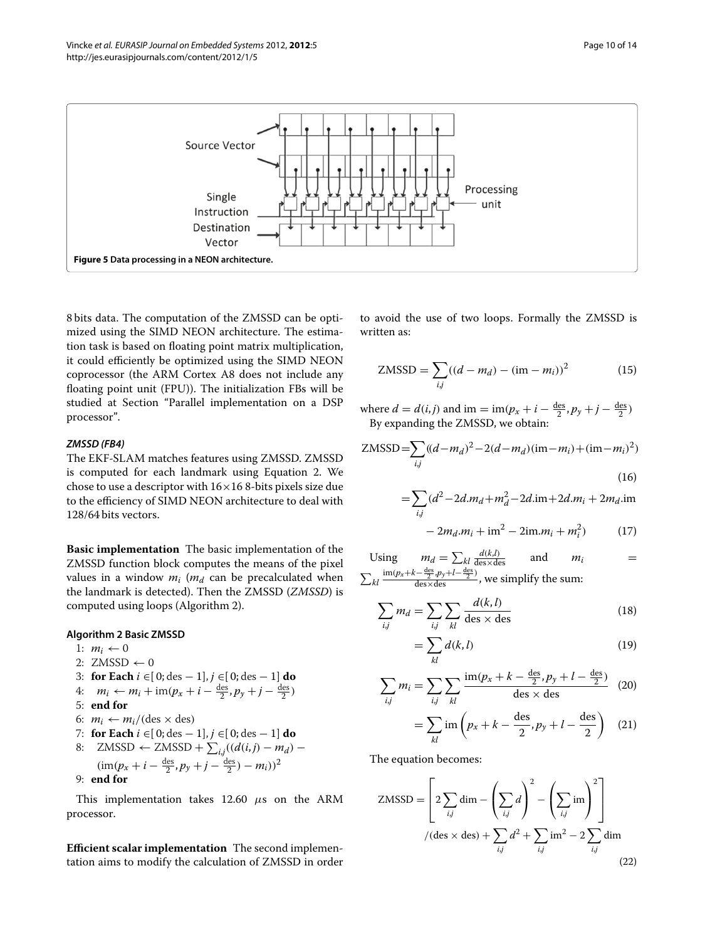



<span id="page-9-0"></span>8 bits data. The computation of the ZMSSD can be optimized using the SIMD NEON architecture. The estimation task is based on floating point matrix multiplication, it could efficiently be optimized using the SIMD NEON coprocessor (the ARM Cortex A8 does not include any floating point unit (FPU)). The initialization FBs will be studied at Section ["Parallel implementation on a DSP](#page-10-0) [processor"](#page-10-0).

## *ZMSSD (FB4)*

The EKF-SLAM matches features using ZMSSD. ZMSSD is computed for each landmark using Equation [2.](#page-3-3) We chose to use a descriptor with  $16\times16$  8-bits pixels size due to the efficiency of SIMD NEON architecture to deal with 128/64 bits vectors.

**Basic implementation** The basic implementation of the ZMSSD function block computes the means of the pixel values in a window  $m_i$  ( $m_d$  can be precalculated when the landmark is detected). Then the ZMSSD (*ZMSSD*) is computed using loops (Algorithm [2\)](#page-9-1).

#### <span id="page-9-1"></span>**Algorithm 2 Basic ZMSSD**

1:  $m_i \leftarrow 0$ 2:  $ZMSSD \leftarrow 0$ 3: **for Each** *i* ∈[0; des − 1], *j* ∈[0; des − 1] **do** 4:  $m_i \leftarrow m_i + \text{im}(p_x + i - \frac{\text{des}}{2}, p_y + j - \frac{\text{des}}{2})$ 5: **end for** 6:  $m_i \leftarrow m_i/(\text{des} \times \text{des})$ 7: **for Each** *i* ∈[ 0; des − 1], *j* ∈[ 0; des − 1] **do**<br>8: ZMSSD ← ZMSSD +  $\sum_{i}$ ; ((*d*(*i*, *j*) − *m*<sub>*d*</sub>) 8:  $ZMSSD$  ←  $ZMSSD + \sum_{i,j}((d(i,j) - m_d) (\text{im}(p_x + i - \frac{\text{des}}{2}, p_y + j - \frac{\text{des}}{2}) - m_i))^2$ 9: **end for**

This implementation takes 12.60 *μ*s on the ARM processor.

**Efficient scalar implementation** The second implementation aims to modify the calculation of ZMSSD in order to avoid the use of two loops. Formally the ZMSSD is written as:

$$
ZMSSD = \sum_{i,j} ((d - m_d) - (im - m_i))^2
$$
 (15)

where  $d = d(i, j)$  and im = im $(p_x + i - \frac{des}{2}, p_y + j - \frac{des}{2})$ By expanding the ZMSSD, we obtain:

ZMSSD = 
$$
\sum_{i,j} ((d - m_d)^2 - 2(d - m_d)(im - m_i) + (im - m_i)^2)
$$
\n(16)

$$
= \sum_{i,j} (d^2 - 2d.m_d + m_d^2 - 2d.\text{im} + 2d.m_i + 2m_d.\text{im})
$$

$$
= 2m \cdot m + \text{im}^2 - 2m m + m_d^2 \tag{17}
$$

$$
-2m_d.m_i + im^2 - 2im.m_i + m_i^2)
$$
 (17)

Using  $m_d = \sum_{kl} \frac{d(k,l)}{\text{des} \times \text{des}}$  and  $m_i =$  $\sum_{kl} \frac{\text{im}(p_x+k-\frac{des}{2},p_y+l-\frac{des}{2})}{\text{des} \times \text{des}},$  we simplify the sum:

$$
\sum_{i,j} m_d = \sum_{i,j} \sum_{kl} \frac{d(k,l)}{\text{des} \times \text{des}}
$$
 (18)

$$
=\sum_{kl}d(k,l)\tag{19}
$$

$$
\sum_{i,j} m_i = \sum_{i,j} \sum_{kl} \frac{\text{im}(p_x + k - \frac{\text{des}}{2}, p_y + l - \frac{\text{des}}{2})}{\text{des} \times \text{des}} \tag{20}
$$

$$
= \sum_{kl} \text{im}\left(p_x + k - \frac{\text{des}}{2}, p_y + l - \frac{\text{des}}{2}\right) \quad (21)
$$

The equation becomes:

$$
\text{ZMSSD} = \left[2\sum_{i,j} \dim -\left(\sum_{i,j} d\right)^2 - \left(\sum_{i,j} \text{im}\right)^2\right] \tag{22}
$$
\n
$$
/(\text{des} \times \text{des}) + \sum_{i,j} d^2 + \sum_{i,j} \text{im}^2 - 2\sum_{i,j} \dim
$$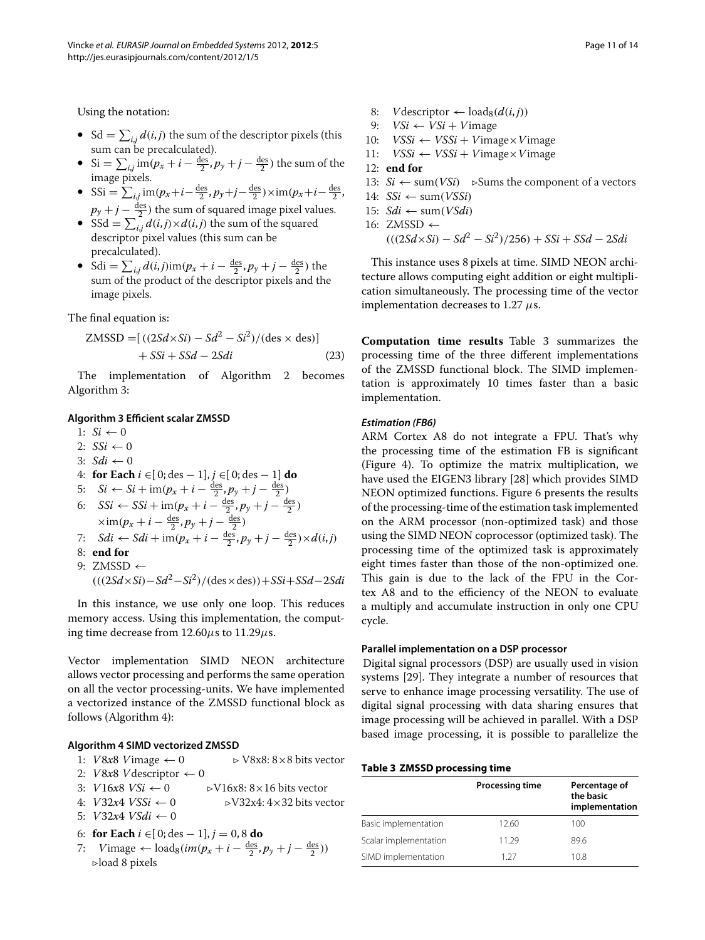Using the notation:

- $\bullet$  Sd  $=\sum_{i,j}d(i,j)$  the sum of the descriptor pixels (this sum can be precalculated).
- Si =  $\sum_{i,j}$  im $(p_x + i \frac{\text{des}}{2}, p_y + j \frac{\text{des}}{2})$  the sum of the image pixels.
- SSi =  $\sum_{i,j}$  im( $p_x + i \frac{\text{des}}{2}, p_y + j \frac{\text{des}}{2}$ )×im( $p_x + i \frac{\text{des}}{2}$ ,  $p_y + j - \frac{des}{2}$ ) the sum of squared image pixel values.
- $\bullet$  SSd  $=$   $\sum_{i,j}d(i,j)\times d(i,j)$  the sum of the squared descriptor pixel values (this sum can be precalculated).
- Sdi =  $\sum_{i,j} d(i,j)$ im $(p_x + i \frac{des}{2}, p_y + j \frac{des}{2})$  the sum of the product of the descriptor pixels and the image pixels.

The final equation is:

$$
\text{ZMSSD} = [((2Sd \times Si) - Sd^2 - Si^2)/(\text{des} \times \text{des})] + SSi + SSi - 2Sdi \tag{23}
$$

The implementation of Algorithm [2](#page-9-1) becomes Algorithm [3:](#page-10-1)

## <span id="page-10-1"></span>**Algorithm 3 Efficient scalar ZMSSD**

1:  $Si \leftarrow 0$ 

- 2:  $SSi \leftarrow 0$
- 3:  $Sdi \leftarrow 0$
- 4: **for Each**  $i \in [0; \text{des} 1], j \in [0; \text{des} 1]$  **do**
- 5:  $Si \leftarrow Si + \text{im}(p_x + i \frac{\text{des}}{2}, p_y + j \frac{\text{des}}{2})$
- 6:  $SSi \leftarrow SSi + \text{im}(p_x + i \frac{\text{des}}{2}, p_y + j \frac{\text{des}}{2})$  $\times$ im $(p_x + i - \frac{des}{2}, p_y + j - \frac{des}{2})$
- 7:  $Sdi \leftarrow Sdi + \text{im}(p_x + i \frac{\text{des}}{2}, p_y + j \frac{\text{des}}{2}) \times d(i, j)$
- 8: **end for**
- 9: ZMSSD  $\leftarrow$
- *(((*2*Sd*×*Si)*−*Sd*2−*Si*2*)/(*des×des*))*+*SSi*+*SSd*−2*Sdi*

In this instance, we use only one loop. This reduces memory access. Using this implementation, the computing time decrease from 12.60*μ*s to 11.29*μ*s.

Vector implementation SIMD NEON architecture allows vector processing and performs the same operation on all the vector processing-units. We have implemented a vectorized instance of the ZMSSD functional block as follows (Algorithm [4\)](#page-10-2):

## <span id="page-10-2"></span>**Algorithm 4 SIMD vectorized ZMSSD**

- 1: *V8x8 V*image  $\leftarrow$  0  $\triangleright$  V8x8: 8×8 bits vector
- 2: *V8x8 V*descriptor  $\leftarrow 0$ <br>3: *V16x8 VSi*  $\leftarrow 0$

3:  $V16x8 VSi \leftarrow 0$   $\triangleright V16x8: 8 \times 16$  bits vector<br>4:  $V32x4 VSSi \leftarrow 0$   $\triangleright V32x4: 4 \times 32$  bits vec

- 4: *V*32*x*4 *VSSi* ← 0 V32x4: 4×32 bits vector
- 5: *V*32*x*4 *VSdi* ← 0
- 6: **for Each**  $i \in [0; \text{des} 1], i = 0, 8$  **do**
- 7: *V*image ← load<sub>8</sub> $(im(p_x + i \frac{des}{2}, p_y + j \frac{des}{2}))$  $\triangleright$ load 8 pixels
- 8: *V*descriptor ← load<sub>8</sub>(*d*(*i*, *j*))<br>9: *VSi* ← *VSi* + *V*image
- $VSi \leftarrow VSi + V$ image
- 10:  $VSSi \leftarrow VSSi + Vimage \times Vimage$
- 11:  $VSSi \leftarrow VSSi + Vimage \times Vimage$
- 12: **end for**
- 13:  $Si \leftarrow \text{sum}(VSi)$   $\Rightarrow$  Sums the component of a vectors
- 14:  $SSi$  ← sum(*VSSi*)
- 15:  $Sdi \leftarrow \text{sum}(VSdi)$
- 16: ZMSSD  $\leftarrow$ 
	- *(((*2*Sd*×*Si)* <sup>−</sup> *Sd*<sup>2</sup> <sup>−</sup> *Si*2*)/*256*)* <sup>+</sup> *SSi* <sup>+</sup> *SSd* <sup>−</sup> <sup>2</sup>*Sdi*

This instance uses 8 pixels at time. SIMD NEON architecture allows computing eight addition or eight multiplication simultaneously. The processing time of the vector implementation decreases to 1.27 *μ*s.

**Computation time results** Table [3](#page-10-3) summarizes the processing time of the three different implementations of the ZMSSD functional block. The SIMD implementation is approximately 10 times faster than a basic implementation.

#### *Estimation (FB6)*

ARM Cortex A8 do not integrate a FPU. That's why the processing time of the estimation FB is significant (Figure [4\)](#page-7-1). To optimize the matrix multiplication, we have used the EIGEN3 library [\[28\]](#page-13-17) which provides SIMD NEON optimized functions. Figure [6](#page-11-0) presents the results of the processing-time of the estimation task implemented on the ARM processor (non-optimized task) and those using the SIMD NEON coprocessor (optimized task). The processing time of the optimized task is approximately eight times faster than those of the non-optimized one. This gain is due to the lack of the FPU in the Cortex A8 and to the efficiency of the NEON to evaluate a multiply and accumulate instruction in only one CPU cycle.

#### **Parallel implementation on a DSP processor**

<span id="page-10-0"></span>Digital signal processors (DSP) are usually used in vision systems [\[29\]](#page-13-18). They integrate a number of resources that serve to enhance image processing versatility. The use of digital signal processing with data sharing ensures that image processing will be achieved in parallel. With a DSP based image processing, it is possible to parallelize the

#### **Table 3 ZMSSD processing time**

<span id="page-10-3"></span>

|                       | <b>Processing time</b> | Percentage of<br>the basic<br>implementation |
|-----------------------|------------------------|----------------------------------------------|
| Basic implementation  | 12.60                  | 100                                          |
| Scalar implementation | 11 29                  | 89.6                                         |
| SIMD implementation   | 1 27                   | 10.8                                         |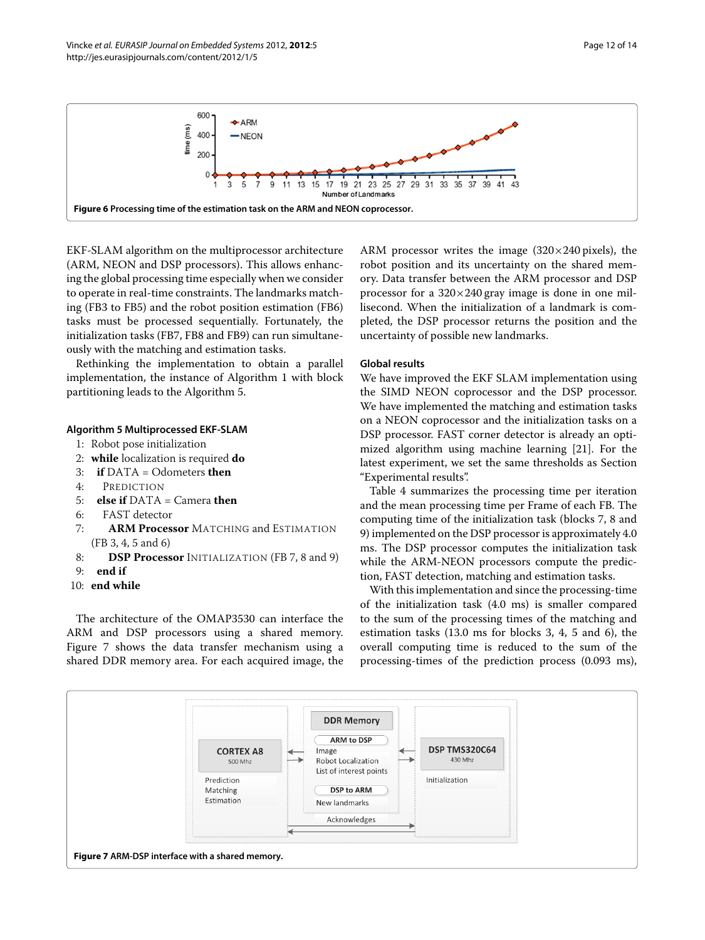

<span id="page-11-0"></span>EKF-SLAM algorithm on the multiprocessor architecture (ARM, NEON and DSP processors). This allows enhancing the global processing time especially when we consider to operate in real-time constraints. The landmarks matching (FB3 to FB5) and the robot position estimation (FB6) tasks must be processed sequentially. Fortunately, the initialization tasks (FB7, FB8 and FB9) can run simultaneously with the matching and estimation tasks.

Rethinking the implementation to obtain a parallel implementation, the instance of Algorithm [1](#page-5-1) with block partitioning leads to the Algorithm [5.](#page-11-1)

#### <span id="page-11-1"></span>**Algorithm 5 Multiprocessed EKF-SLAM**

- 1: Robot pose initialization
- 2: **while** localization is required **do**
- 3: **if** DATA = Odometers **then**
- 4: PREDICTION
- 5: **else if** DATA = Camera **then**
- 6: FAST detector
- 7: **ARM Processor** MATCHING and ESTIMATION (FB 3, 4, 5 and 6)
- 8: **DSP Processor** INITIALIZATION (FB 7, 8 and 9)
- 9: **end if**
- 10: **end while**

The architecture of the OMAP3530 can interface the ARM and DSP processors using a shared memory. Figure [7](#page-11-2) shows the data transfer mechanism using a shared DDR memory area. For each acquired image, the ARM processor writes the image  $(320\times240)$  pixels), the robot position and its uncertainty on the shared memory. Data transfer between the ARM processor and DSP processor for a  $320\times240$  gray image is done in one millisecond. When the initialization of a landmark is completed, the DSP processor returns the position and the uncertainty of possible new landmarks.

## **Global results**

We have improved the EKF SLAM implementation using the SIMD NEON coprocessor and the DSP processor. We have implemented the matching and estimation tasks on a NEON coprocessor and the initialization tasks on a DSP processor. FAST corner detector is already an optimized algorithm using machine learning [\[21\]](#page-13-10). For the latest experiment, we set the same thresholds as Section ["Experimental results"](#page-8-2).

Table [4](#page-12-11) summarizes the processing time per iteration and the mean processing time per Frame of each FB. The computing time of the initialization task (blocks 7, 8 and 9) implemented on the DSP processor is approximately 4.0 ms. The DSP processor computes the initialization task while the ARM-NEON processors compute the prediction, FAST detection, matching and estimation tasks.

With this implementation and since the processing-time of the initialization task (4.0 ms) is smaller compared to the sum of the processing times of the matching and estimation tasks (13.0 ms for blocks 3, 4, 5 and 6), the overall computing time is reduced to the sum of the processing-times of the prediction process (0.093 ms),

<span id="page-11-2"></span>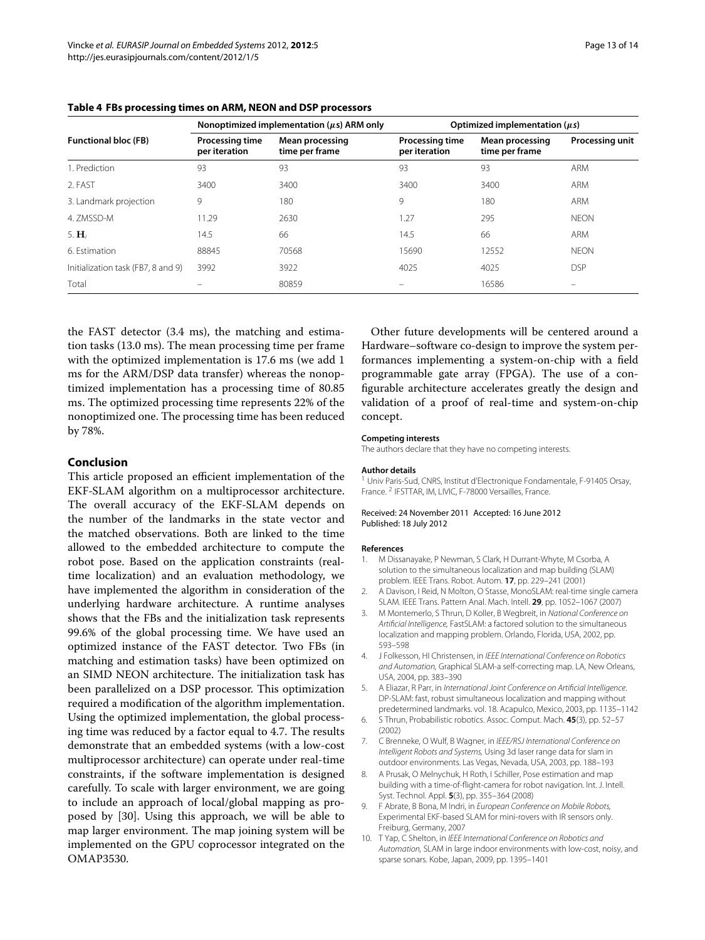|                                    | Nonoptimized implementation $(\mu s)$ ARM only |                                   | Optimized implementation $(\mu s)$      |                                   |                        |
|------------------------------------|------------------------------------------------|-----------------------------------|-----------------------------------------|-----------------------------------|------------------------|
| <b>Functional bloc (FB)</b>        | <b>Processing time</b><br>per iteration        | Mean processing<br>time per frame | <b>Processing time</b><br>per iteration | Mean processing<br>time per frame | <b>Processing unit</b> |
| 1. Prediction                      | 93                                             | 93                                | 93                                      | 93                                | <b>ARM</b>             |
| 2. FAST                            | 3400                                           | 3400                              | 3400                                    | 3400                              | <b>ARM</b>             |
| 3. Landmark projection             | 9                                              | 180                               | 9                                       | 180                               | ARM                    |
| 4. ZMSSD-M                         | 11.29                                          | 2630                              | 1.27                                    | 295                               | <b>NEON</b>            |
| 5. $H_i$                           | 14.5                                           | 66                                | 14.5                                    | 66                                | <b>ARM</b>             |
| 6. Estimation                      | 88845                                          | 70568                             | 15690                                   | 12552                             | <b>NEON</b>            |
| Initialization task (FB7, 8 and 9) | 3992                                           | 3922                              | 4025                                    | 4025                              | <b>DSP</b>             |
| Total                              |                                                | 80859                             |                                         | 16586                             |                        |

## <span id="page-12-11"></span>**Table 4 FBs processing times on ARM, NEON and DSP processors**

the FAST detector (3.4 ms), the matching and estimation tasks (13.0 ms). The mean processing time per frame with the optimized implementation is 17.6 ms (we add 1 ms for the ARM/DSP data transfer) whereas the nonoptimized implementation has a processing time of 80.85 ms. The optimized processing time represents 22% of the nonoptimized one. The processing time has been reduced by 78%.

## <span id="page-12-10"></span>**Conclusion**

This article proposed an efficient implementation of the EKF-SLAM algorithm on a multiprocessor architecture. The overall accuracy of the EKF-SLAM depends on the number of the landmarks in the state vector and the matched observations. Both are linked to the time allowed to the embedded architecture to compute the robot pose. Based on the application constraints (realtime localization) and an evaluation methodology, we have implemented the algorithm in consideration of the underlying hardware architecture. A runtime analyses shows that the FBs and the initialization task represents 99.6% of the global processing time. We have used an optimized instance of the FAST detector. Two FBs (in matching and estimation tasks) have been optimized on an SIMD NEON architecture. The initialization task has been parallelized on a DSP processor. This optimization required a modification of the algorithm implementation. Using the optimized implementation, the global processing time was reduced by a factor equal to 4.7. The results demonstrate that an embedded systems (with a low-cost multiprocessor architecture) can operate under real-time constraints, if the software implementation is designed carefully. To scale with larger environment, we are going to include an approach of local/global mapping as proposed by [\[30\]](#page-13-19). Using this approach, we will be able to map larger environment. The map joining system will be implemented on the GPU coprocessor integrated on the OMAP3530.

Other future developments will be centered around a Hardware–software co-design to improve the system performances implementing a system-on-chip with a field programmable gate array (FPGA). The use of a configurable architecture accelerates greatly the design and validation of a proof of real-time and system-on-chip concept.

#### **Competing interests**

The authors declare that they have no competing interests.

#### **Author details**

<sup>1</sup> Univ Paris-Sud, CNRS, Institut d'Electronique Fondamentale, F-91405 Orsay, France. <sup>2</sup> IFSTTAR, IM, LIVIC, F-78000 Versailles, France.

#### Received: 24 November 2011 Accepted: 16 June 2012 Published: 18 July 2012

#### **References**

- <span id="page-12-0"></span>1. M Dissanayake, P Newman, S Clark, H Durrant-Whyte, M Csorba, A solution to the simultaneous localization and map building (SLAM) problem. IEEE Trans. Robot. Autom. **17**, pp. 229–241 (2001)
- <span id="page-12-1"></span>2. A Davison, I Reid, N Molton, O Stasse, MonoSLAM: real-time single camera SLAM. IEEE Trans. Pattern Anal. Mach. Intell. **29**, pp. 1052–1067 (2007)
- <span id="page-12-2"></span>3. M Montemerlo, S Thrun, D Koller, B Wegbreit, in National Conference on Artificial Intelligence, FastSLAM: a factored solution to the simultaneous localization and mapping problem. Orlando, Florida, USA, 2002, pp. 593–598
- <span id="page-12-3"></span>4. J Folkesson, HI Christensen, in IEEE International Conference on Robotics and Automation, Graphical SLAM-a self-correcting map. LA, New Orleans, USA, 2004, pp. 383–390
- <span id="page-12-4"></span>5. A Eliazar, R Parr, in International Joint Conference on Artificial Intelligence. DP-SLAM: fast, robust simultaneous localization and mapping without predetermined landmarks. vol. 18. Acapulco, Mexico, 2003, pp. 1135–1142
- <span id="page-12-5"></span>6. S Thrun, Probabilistic robotics. Assoc. Comput. Mach. **45**(3), pp. 52–57 (2002)
- <span id="page-12-6"></span>7. C Brenneke, O Wulf, B Wagner, in IEEE/RSJ International Conference on Intelligent Robots and Systems, Using 3d laser range data for slam in outdoor environments. Las Vegas, Nevada, USA, 2003, pp. 188–193
- <span id="page-12-7"></span>8. A Prusak, O Melnychuk, H Roth, I Schiller, Pose estimation and map building with a time-of-flight-camera for robot navigation. Int. J. Intell. Syst. Technol. Appl. **5**(3), pp. 355–364 (2008)
- <span id="page-12-8"></span>9. F Abrate, B Bona, M Indri, in European Conference on Mobile Robots, Experimental EKF-based SLAM for mini-rovers with IR sensors only. Freiburg, Germany, 2007
- <span id="page-12-9"></span>10. TYap, C Shelton, in IEEE International Conference on Robotics and Automation, SLAM in large indoor environments with low-cost, noisy, and sparse sonars. Kobe, Japan, 2009, pp. 1395–1401